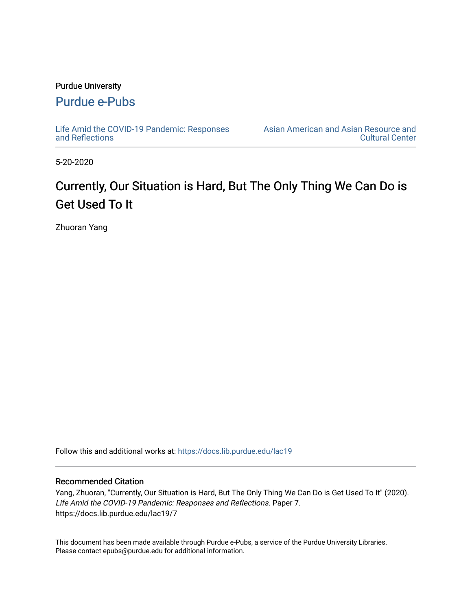## Purdue University

## [Purdue e-Pubs](https://docs.lib.purdue.edu/)

[Life Amid the COVID-19 Pandemic: Responses](https://docs.lib.purdue.edu/lac19)  [and Reflections](https://docs.lib.purdue.edu/lac19) 

[Asian American and Asian Resource and](https://docs.lib.purdue.edu/aaarcc)  [Cultural Center](https://docs.lib.purdue.edu/aaarcc) 

5-20-2020

## Currently, Our Situation is Hard, But The Only Thing We Can Do is Get Used To It

Zhuoran Yang

Follow this and additional works at: [https://docs.lib.purdue.edu/lac19](https://docs.lib.purdue.edu/lac19?utm_source=docs.lib.purdue.edu%2Flac19%2F7&utm_medium=PDF&utm_campaign=PDFCoverPages)

## Recommended Citation

Yang, Zhuoran, "Currently, Our Situation is Hard, But The Only Thing We Can Do is Get Used To It" (2020). Life Amid the COVID-19 Pandemic: Responses and Reflections. Paper 7. https://docs.lib.purdue.edu/lac19/7

This document has been made available through Purdue e-Pubs, a service of the Purdue University Libraries. Please contact epubs@purdue.edu for additional information.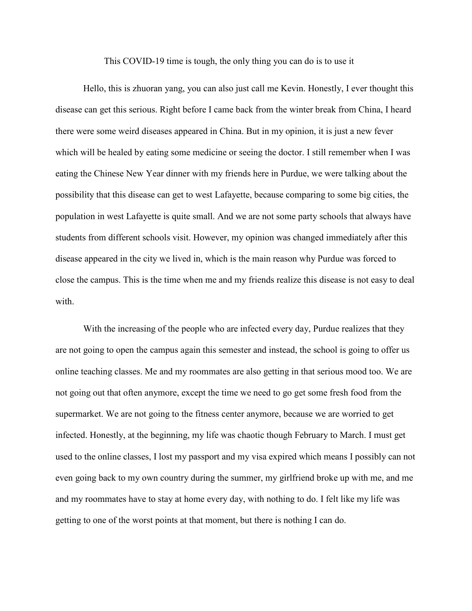This COVID-19 time is tough, the only thing you can do is to use it

Hello, this is zhuoran yang, you can also just call me Kevin. Honestly, I ever thought this disease can get this serious. Right before I came back from the winter break from China, I heard there were some weird diseases appeared in China. But in my opinion, it is just a new fever which will be healed by eating some medicine or seeing the doctor. I still remember when I was eating the Chinese New Year dinner with my friends here in Purdue, we were talking about the possibility that this disease can get to west Lafayette, because comparing to some big cities, the population in west Lafayette is quite small. And we are not some party schools that always have students from different schools visit. However, my opinion was changed immediately after this disease appeared in the city we lived in, which is the main reason why Purdue was forced to close the campus. This is the time when me and my friends realize this disease is not easy to deal with.

With the increasing of the people who are infected every day, Purdue realizes that they are not going to open the campus again this semester and instead, the school is going to offer us online teaching classes. Me and my roommates are also getting in that serious mood too. We are not going out that often anymore, except the time we need to go get some fresh food from the supermarket. We are not going to the fitness center anymore, because we are worried to get infected. Honestly, at the beginning, my life was chaotic though February to March. I must get used to the online classes, I lost my passport and my visa expired which means I possibly can not even going back to my own country during the summer, my girlfriend broke up with me, and me and my roommates have to stay at home every day, with nothing to do. I felt like my life was getting to one of the worst points at that moment, but there is nothing I can do.